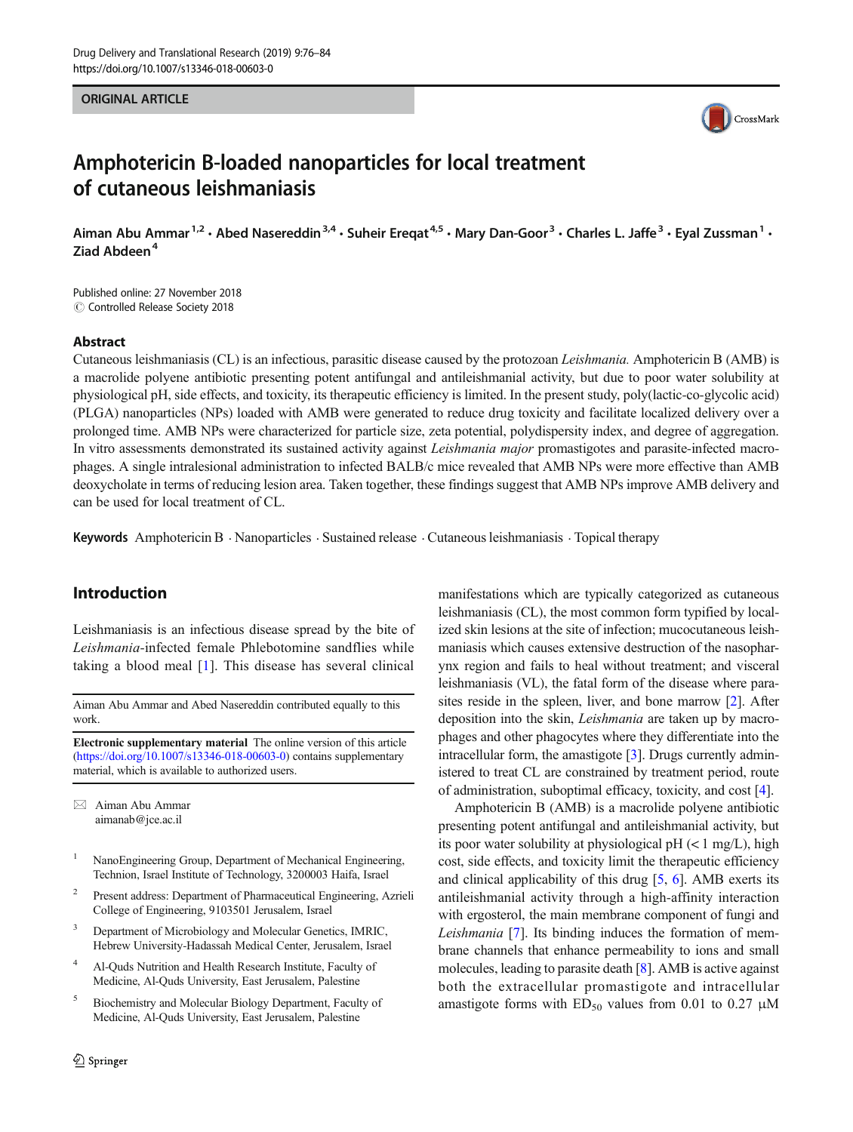#### ORIGINAL ARTICLE



# Amphotericin B-loaded nanoparticles for local treatment of cutaneous leishmaniasis

Aiman Abu Ammar<sup>1,2</sup> • Abed Nasereddin<sup>3,4</sup> • Suheir Eregat<sup>4,5</sup> • Mary Dan-Goor<sup>3</sup> • Charles L. Jaffe<sup>3</sup> • Eyal Zussman<sup>1</sup> • Ziad Abdeen<sup>4</sup>

Published online: 27 November 2018 C Controlled Release Society 2018

#### Abstract

Cutaneous leishmaniasis (CL) is an infectious, parasitic disease caused by the protozoan Leishmania. Amphotericin B (AMB) is a macrolide polyene antibiotic presenting potent antifungal and antileishmanial activity, but due to poor water solubility at physiological pH, side effects, and toxicity, its therapeutic efficiency is limited. In the present study, poly(lactic-co-glycolic acid) (PLGA) nanoparticles (NPs) loaded with AMB were generated to reduce drug toxicity and facilitate localized delivery over a prolonged time. AMB NPs were characterized for particle size, zeta potential, polydispersity index, and degree of aggregation. In vitro assessments demonstrated its sustained activity against *Leishmania major* promastigotes and parasite-infected macrophages. A single intralesional administration to infected BALB/c mice revealed that AMB NPs were more effective than AMB deoxycholate in terms of reducing lesion area. Taken together, these findings suggest that AMB NPs improve AMB delivery and can be used for local treatment of CL.

Keywords Amphotericin B . Nanoparticles . Sustained release . Cutaneous leishmaniasis . Topical therapy

# Introduction

Leishmaniasis is an infectious disease spread by the bite of Leishmania-infected female Phlebotomine sandflies while taking a blood meal [\[1](#page-7-0)]. This disease has several clinical

Aiman Abu Ammar and Abed Nasereddin contributed equally to this work.

Electronic supplementary material The online version of this article ([https://doi.org/10.1007/s13346-018-00603-0\)](https://doi.org/10.1007/s13346-018-00603-0) contains supplementary material, which is available to authorized users.

 $\boxtimes$  Aiman Abu Ammar [aimanab@jce.ac.il](mailto:aimanab@jce.ac.il)

- NanoEngineering Group, Department of Mechanical Engineering, Technion, Israel Institute of Technology, 3200003 Haifa, Israel
- <sup>2</sup> Present address: Department of Pharmaceutical Engineering, Azrieli College of Engineering, 9103501 Jerusalem, Israel
- Department of Microbiology and Molecular Genetics, IMRIC, Hebrew University-Hadassah Medical Center, Jerusalem, Israel
- <sup>4</sup> Al-Quds Nutrition and Health Research Institute, Faculty of Medicine, Al-Quds University, East Jerusalem, Palestine
- <sup>5</sup> Biochemistry and Molecular Biology Department, Faculty of Medicine, Al-Quds University, East Jerusalem, Palestine

manifestations which are typically categorized as cutaneous leishmaniasis (CL), the most common form typified by localized skin lesions at the site of infection; mucocutaneous leishmaniasis which causes extensive destruction of the nasopharynx region and fails to heal without treatment; and visceral leishmaniasis (VL), the fatal form of the disease where parasites reside in the spleen, liver, and bone marrow [\[2\]](#page-7-0). After deposition into the skin, Leishmania are taken up by macrophages and other phagocytes where they differentiate into the intracellular form, the amastigote [\[3](#page-7-0)]. Drugs currently administered to treat CL are constrained by treatment period, route of administration, suboptimal efficacy, toxicity, and cost [\[4](#page-7-0)].

Amphotericin B (AMB) is a macrolide polyene antibiotic presenting potent antifungal and antileishmanial activity, but its poor water solubility at physiological pH  $(< 1$  mg/L), high cost, side effects, and toxicity limit the therapeutic efficiency and clinical applicability of this drug [\[5,](#page-7-0) [6](#page-7-0)]. AMB exerts its antileishmanial activity through a high-affinity interaction with ergosterol, the main membrane component of fungi and Leishmania [\[7](#page-7-0)]. Its binding induces the formation of membrane channels that enhance permeability to ions and small molecules, leading to parasite death [\[8\]](#page-7-0). AMB is active against both the extracellular promastigote and intracellular amastigote forms with  $ED_{50}$  values from 0.01 to 0.27  $\mu$ M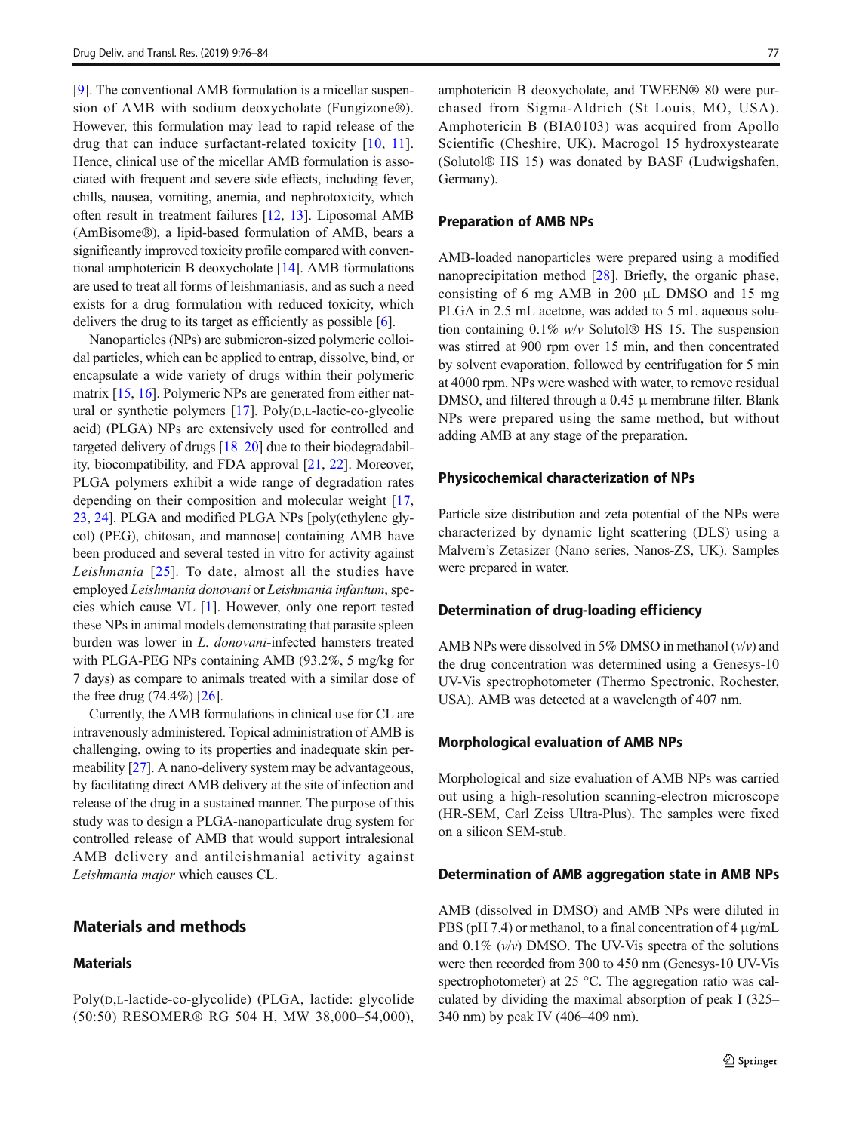[\[9](#page-7-0)]. The conventional AMB formulation is a micellar suspension of AMB with sodium deoxycholate (Fungizone®). However, this formulation may lead to rapid release of the drug that can induce surfactant-related toxicity [\[10,](#page-7-0) [11](#page-7-0)]. Hence, clinical use of the micellar AMB formulation is associated with frequent and severe side effects, including fever, chills, nausea, vomiting, anemia, and nephrotoxicity, which often result in treatment failures [\[12](#page-7-0), [13](#page-7-0)]. Liposomal AMB (AmBisome®), a lipid-based formulation of AMB, bears a significantly improved toxicity profile compared with conventional amphotericin B deoxycholate [\[14](#page-7-0)]. AMB formulations are used to treat all forms of leishmaniasis, and as such a need exists for a drug formulation with reduced toxicity, which delivers the drug to its target as efficiently as possible [\[6\]](#page-7-0).

Nanoparticles (NPs) are submicron-sized polymeric colloidal particles, which can be applied to entrap, dissolve, bind, or encapsulate a wide variety of drugs within their polymeric matrix [[15](#page-7-0), [16](#page-7-0)]. Polymeric NPs are generated from either natural or synthetic polymers [[17\]](#page-7-0). Poly(D,L-lactic-co-glycolic acid) (PLGA) NPs are extensively used for controlled and targeted delivery of drugs [\[18](#page-7-0)–[20\]](#page-7-0) due to their biodegradability, biocompatibility, and FDA approval [[21,](#page-7-0) [22](#page-7-0)]. Moreover, PLGA polymers exhibit a wide range of degradation rates depending on their composition and molecular weight [[17,](#page-7-0) [23,](#page-7-0) [24\]](#page-7-0). PLGA and modified PLGA NPs [poly(ethylene glycol) (PEG), chitosan, and mannose] containing AMB have been produced and several tested in vitro for activity against Leishmania [[25](#page-7-0)]. To date, almost all the studies have employed Leishmania donovani or Leishmania infantum, species which cause VL [\[1](#page-7-0)]. However, only one report tested these NPs in animal models demonstrating that parasite spleen burden was lower in L. donovani-infected hamsters treated with PLGA-PEG NPs containing AMB (93.2%, 5 mg/kg for 7 days) as compare to animals treated with a similar dose of the free drug (74.4%) [[26](#page-7-0)].

Currently, the AMB formulations in clinical use for CL are intravenously administered. Topical administration of AMB is challenging, owing to its properties and inadequate skin permeability [[27](#page-7-0)]. A nano-delivery system may be advantageous, by facilitating direct AMB delivery at the site of infection and release of the drug in a sustained manner. The purpose of this study was to design a PLGA-nanoparticulate drug system for controlled release of AMB that would support intralesional AMB delivery and antileishmanial activity against Leishmania major which causes CL.

# Materials and methods

### **Materials**

amphotericin B deoxycholate, and TWEEN® 80 were purchased from Sigma-Aldrich (St Louis, MO, USA). Amphotericin B (BIA0103) was acquired from Apollo Scientific (Cheshire, UK). Macrogol 15 hydroxystearate (Solutol® HS 15) was donated by BASF (Ludwigshafen, Germany).

#### Preparation of AMB NPs

AMB-loaded nanoparticles were prepared using a modified nanoprecipitation method [\[28](#page-8-0)]. Briefly, the organic phase, consisting of 6 mg AMB in 200 μL DMSO and 15 mg PLGA in 2.5 mL acetone, was added to 5 mL aqueous solution containing 0.1% w/v Solutol® HS 15. The suspension was stirred at 900 rpm over 15 min, and then concentrated by solvent evaporation, followed by centrifugation for 5 min at 4000 rpm. NPs were washed with water, to remove residual DMSO, and filtered through a  $0.45 \mu$  membrane filter. Blank NPs were prepared using the same method, but without adding AMB at any stage of the preparation.

### Physicochemical characterization of NPs

Particle size distribution and zeta potential of the NPs were characterized by dynamic light scattering (DLS) using a Malvern's Zetasizer (Nano series, Nanos-ZS, UK). Samples were prepared in water.

### Determination of drug-loading efficiency

AMB NPs were dissolved in 5% DMSO in methanol  $(v/v)$  and the drug concentration was determined using a Genesys-10 UV-Vis spectrophotometer (Thermo Spectronic, Rochester, USA). AMB was detected at a wavelength of 407 nm.

### Morphological evaluation of AMB NPs

Morphological and size evaluation of AMB NPs was carried out using a high-resolution scanning-electron microscope (HR-SEM, Carl Zeiss Ultra-Plus). The samples were fixed on a silicon SEM-stub.

#### Determination of AMB aggregation state in AMB NPs

AMB (dissolved in DMSO) and AMB NPs were diluted in PBS (pH 7.4) or methanol, to a final concentration of 4 μg/mL and  $0.1\%$  ( $v/v$ ) DMSO. The UV-Vis spectra of the solutions were then recorded from 300 to 450 nm (Genesys-10 UV-Vis spectrophotometer) at 25 °C. The aggregation ratio was calculated by dividing the maximal absorption of peak I (325– 340 nm) by peak IV (406–409 nm).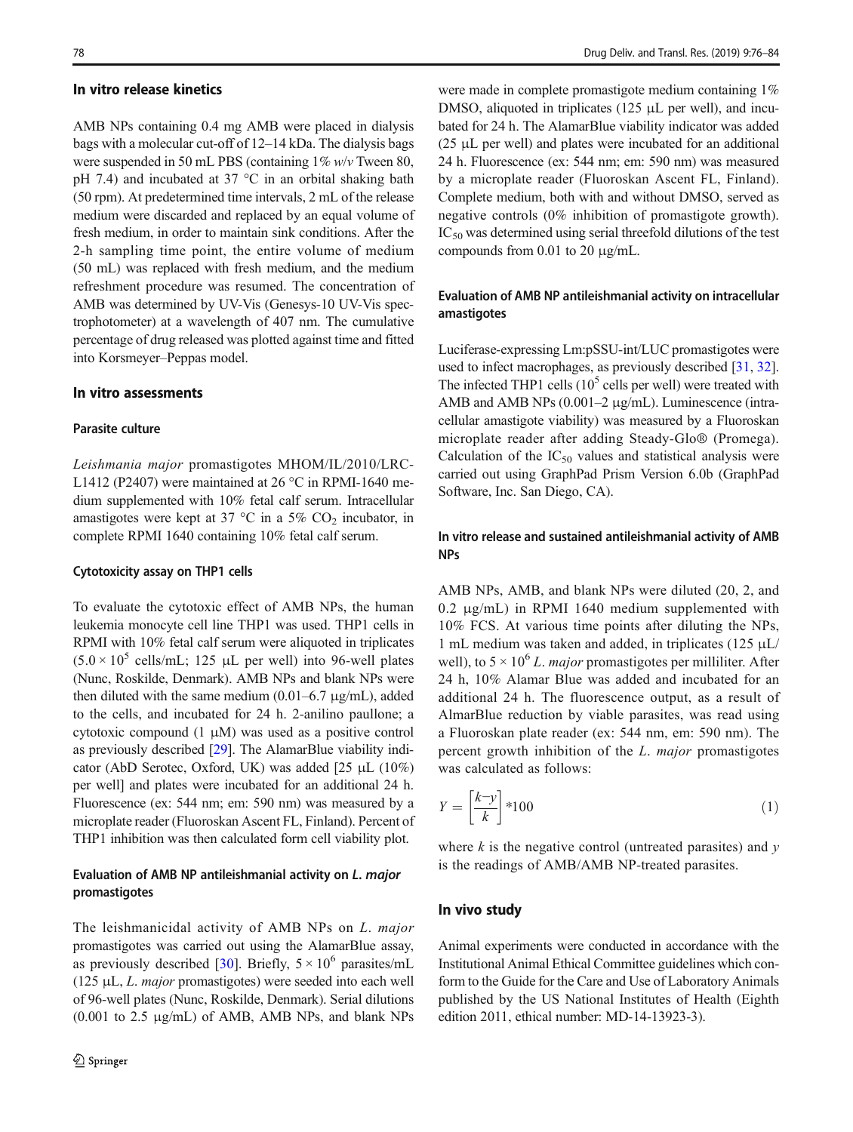#### In vitro release kinetics

AMB NPs containing 0.4 mg AMB were placed in dialysis bags with a molecular cut-off of 12–14 kDa. The dialysis bags were suspended in 50 mL PBS (containing 1% w/v Tween 80, pH 7.4) and incubated at 37 °C in an orbital shaking bath (50 rpm). At predetermined time intervals, 2 mL of the release medium were discarded and replaced by an equal volume of fresh medium, in order to maintain sink conditions. After the 2-h sampling time point, the entire volume of medium (50 mL) was replaced with fresh medium, and the medium refreshment procedure was resumed. The concentration of AMB was determined by UV-Vis (Genesys-10 UV-Vis spectrophotometer) at a wavelength of 407 nm. The cumulative percentage of drug released was plotted against time and fitted into Korsmeyer–Peppas model.

#### In vitro assessments

### Parasite culture

Leishmania major promastigotes MHOM/IL/2010/LRC-L1412 (P2407) were maintained at 26 °C in RPMI-1640 medium supplemented with 10% fetal calf serum. Intracellular amastigotes were kept at 37 °C in a 5%  $CO<sub>2</sub>$  incubator, in complete RPMI 1640 containing 10% fetal calf serum.

### Cytotoxicity assay on THP1 cells

To evaluate the cytotoxic effect of AMB NPs, the human leukemia monocyte cell line THP1 was used. THP1 cells in RPMI with 10% fetal calf serum were aliquoted in triplicates  $(5.0 \times 10^5 \text{ cells/mL}; 125 \mu L \text{ per well})$  into 96-well plates (Nunc, Roskilde, Denmark). AMB NPs and blank NPs were then diluted with the same medium  $(0.01-6.7 \text{ µg/mL})$ , added to the cells, and incubated for 24 h. 2-anilino paullone; a cytotoxic compound (1 μM) was used as a positive control as previously described [\[29\]](#page-8-0). The AlamarBlue viability indicator (AbD Serotec, Oxford, UK) was added [25 μL (10%) per well] and plates were incubated for an additional 24 h. Fluorescence (ex: 544 nm; em: 590 nm) was measured by a microplate reader (Fluoroskan Ascent FL, Finland). Percent of THP1 inhibition was then calculated form cell viability plot.

# Evaluation of AMB NP antileishmanial activity on L. major promastigotes

The leishmanicidal activity of AMB NPs on L. major promastigotes was carried out using the AlamarBlue assay, as previously described [\[30](#page-8-0)]. Briefly,  $5 \times 10^6$  parasites/mL (125 μL, L. major promastigotes) were seeded into each well of 96-well plates (Nunc, Roskilde, Denmark). Serial dilutions (0.001 to 2.5 μg/mL) of AMB, AMB NPs, and blank NPs were made in complete promastigote medium containing 1% DMSO, aliquoted in triplicates (125 μL per well), and incubated for 24 h. The AlamarBlue viability indicator was added (25 μL per well) and plates were incubated for an additional 24 h. Fluorescence (ex: 544 nm; em: 590 nm) was measured by a microplate reader (Fluoroskan Ascent FL, Finland). Complete medium, both with and without DMSO, served as negative controls (0% inhibition of promastigote growth). IC<sub>50</sub> was determined using serial threefold dilutions of the test compounds from 0.01 to 20 μg/mL.

# Evaluation of AMB NP antileishmanial activity on intracellular amastigotes

Luciferase-expressing Lm:pSSU-int/LUC promastigotes were used to infect macrophages, as previously described [\[31,](#page-8-0) [32\]](#page-8-0). The infected THP1 cells  $(10^5 \text{ cells per well})$  were treated with AMB and AMB NPs (0.001–2 μg/mL). Luminescence (intracellular amastigote viability) was measured by a Fluoroskan microplate reader after adding Steady-Glo® (Promega). Calculation of the  $IC_{50}$  values and statistical analysis were carried out using GraphPad Prism Version 6.0b (GraphPad Software, Inc. San Diego, CA).

# In vitro release and sustained antileishmanial activity of AMB NPs

AMB NPs, AMB, and blank NPs were diluted (20, 2, and 0.2 μg/mL) in RPMI 1640 medium supplemented with 10% FCS. At various time points after diluting the NPs, 1 mL medium was taken and added, in triplicates (125 μL/ well), to  $5 \times 10^6$  L. *major* promastigotes per milliliter. After 24 h, 10% Alamar Blue was added and incubated for an additional 24 h. The fluorescence output, as a result of AlmarBlue reduction by viable parasites, was read using a Fluoroskan plate reader (ex: 544 nm, em: 590 nm). The percent growth inhibition of the L. major promastigotes was calculated as follows:

$$
Y = \left[\frac{k-y}{k}\right] * 100\tag{1}
$$

where  $k$  is the negative control (untreated parasites) and  $y$ is the readings of AMB/AMB NP-treated parasites.

#### In vivo study

Animal experiments were conducted in accordance with the Institutional Animal Ethical Committee guidelines which conform to the Guide for the Care and Use of Laboratory Animals published by the US National Institutes of Health (Eighth edition 2011, ethical number: MD-14-13923-3).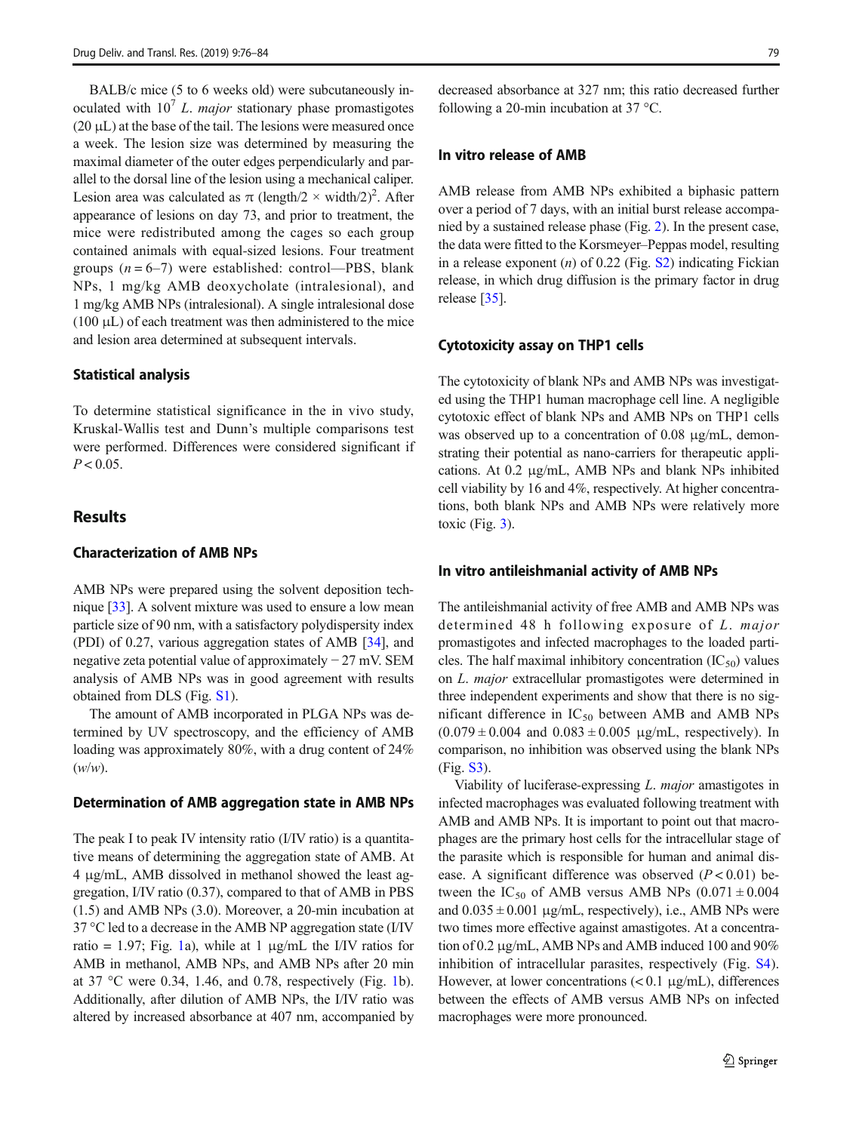BALB/c mice (5 to 6 weeks old) were subcutaneously inoculated with  $10<sup>7</sup> L$ . *major* stationary phase promastigotes  $(20 \mu L)$  at the base of the tail. The lesions were measured once a week. The lesion size was determined by measuring the maximal diameter of the outer edges perpendicularly and parallel to the dorsal line of the lesion using a mechanical caliper. Lesion area was calculated as  $\pi$  (length/2  $\times$  width/2)<sup>2</sup>. After appearance of lesions on day 73, and prior to treatment, the mice were redistributed among the cages so each group contained animals with equal-sized lesions. Four treatment groups  $(n = 6-7)$  were established: control—PBS, blank NPs, 1 mg/kg AMB deoxycholate (intralesional), and 1 mg/kg AMB NPs (intralesional). A single intralesional dose  $(100 \mu L)$  of each treatment was then administered to the mice and lesion area determined at subsequent intervals.

#### Statistical analysis

To determine statistical significance in the in vivo study, Kruskal-Wallis test and Dunn's multiple comparisons test were performed. Differences were considered significant if  $P < 0.05$ .

### **Results**

### Characterization of AMB NPs

AMB NPs were prepared using the solvent deposition technique [\[33\]](#page-8-0). A solvent mixture was used to ensure a low mean particle size of 90 nm, with a satisfactory polydispersity index (PDI) of 0.27, various aggregation states of AMB [\[34](#page-8-0)], and negative zeta potential value of approximately − 27 mV. SEM analysis of AMB NPs was in good agreement with results obtained from DLS (Fig. S1).

The amount of AMB incorporated in PLGA NPs was determined by UV spectroscopy, and the efficiency of AMB loading was approximately 80%, with a drug content of 24%  $(w/w)$ .

#### Determination of AMB aggregation state in AMB NPs

The peak I to peak IV intensity ratio (I/IV ratio) is a quantitative means of determining the aggregation state of AMB. At 4 μg/mL, AMB dissolved in methanol showed the least aggregation, I/IV ratio (0.37), compared to that of AMB in PBS (1.5) and AMB NPs (3.0). Moreover, a 20-min incubation at 37 °C led to a decrease in the AMB NP aggregation state (I/IV ratio = [1](#page-4-0).97; Fig. 1a), while at 1  $\mu$ g/mL the I/IV ratios for AMB in methanol, AMB NPs, and AMB NPs after 20 min at 37 °C were 0.34, 1.46, and 0.78, respectively (Fig. [1b](#page-4-0)). Additionally, after dilution of AMB NPs, the I/IV ratio was altered by increased absorbance at 407 nm, accompanied by decreased absorbance at 327 nm; this ratio decreased further following a 20-min incubation at 37 °C.

### In vitro release of AMB

AMB release from AMB NPs exhibited a biphasic pattern over a period of 7 days, with an initial burst release accompanied by a sustained release phase (Fig. [2](#page-4-0)). In the present case, the data were fitted to the Korsmeyer–Peppas model, resulting in a release exponent  $(n)$  of 0.22 (Fig. S2) indicating Fickian release, in which drug diffusion is the primary factor in drug release [[35](#page-8-0)].

#### Cytotoxicity assay on THP1 cells

The cytotoxicity of blank NPs and AMB NPs was investigated using the THP1 human macrophage cell line. A negligible cytotoxic effect of blank NPs and AMB NPs on THP1 cells was observed up to a concentration of 0.08 μg/mL, demonstrating their potential as nano-carriers for therapeutic applications. At 0.2 μg/mL, AMB NPs and blank NPs inhibited cell viability by 16 and 4%, respectively. At higher concentrations, both blank NPs and AMB NPs were relatively more toxic (Fig. [3](#page-5-0)).

### In vitro antileishmanial activity of AMB NPs

The antileishmanial activity of free AMB and AMB NPs was determined 48 h following exposure of L. major promastigotes and infected macrophages to the loaded particles. The half maximal inhibitory concentration  $(IC_{50})$  values on L. major extracellular promastigotes were determined in three independent experiments and show that there is no significant difference in  $IC_{50}$  between AMB and AMB NPs  $(0.079 \pm 0.004$  and  $(0.083 \pm 0.005 \text{ µg/mL})$ , respectively). In comparison, no inhibition was observed using the blank NPs (Fig. S3).

Viability of luciferase-expressing L. major amastigotes in infected macrophages was evaluated following treatment with AMB and AMB NPs. It is important to point out that macrophages are the primary host cells for the intracellular stage of the parasite which is responsible for human and animal disease. A significant difference was observed  $(P < 0.01)$  between the IC<sub>50</sub> of AMB versus AMB NPs  $(0.071 \pm 0.004$ and  $0.035 \pm 0.001$  µg/mL, respectively), i.e., AMB NPs were two times more effective against amastigotes. At a concentration of 0.2 μg/mL, AMB NPs and AMB induced 100 and 90% inhibition of intracellular parasites, respectively (Fig. S4). However, at lower concentrations  $(< 0.1 \mu g/mL)$ , differences between the effects of AMB versus AMB NPs on infected macrophages were more pronounced.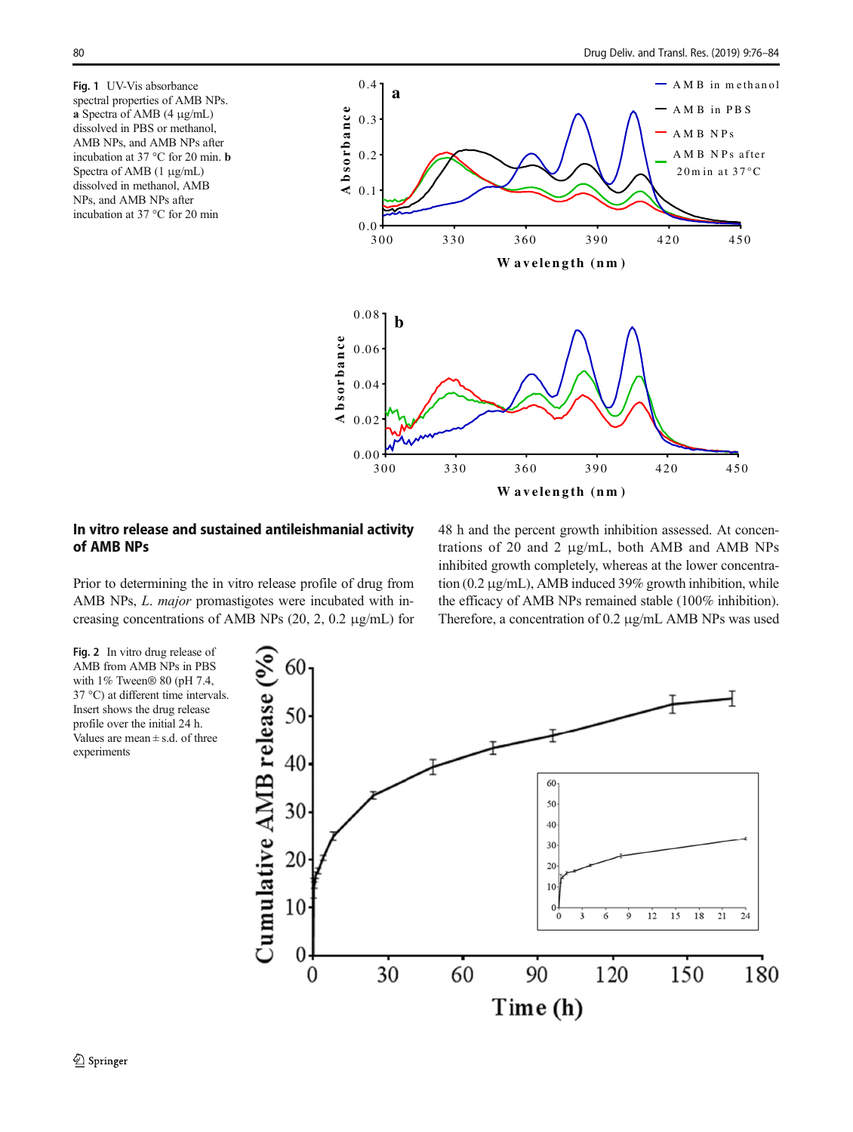<span id="page-4-0"></span>Fig. 1 UV-Vis absorbance spectral properties of AMB NPs. a Spectra of AMB (4 μg/mL) dissolved in PBS or methanol, AMB NPs, and AMB NPs after incubation at 37 °C for 20 min. b Spectra of AMB (1 μg/mL) dissolved in methanol, AMB NPs, and AMB NPs after incubation at 37 °C for 20 min



# In vitro release and sustained antileishmanial activity of AMB NPs

Prior to determining the in vitro release profile of drug from AMB NPs, L. major promastigotes were incubated with increasing concentrations of AMB NPs (20, 2, 0.2 μg/mL) for 48 h and the percent growth inhibition assessed. At concentrations of 20 and 2 μg/mL, both AMB and AMB NPs inhibited growth completely, whereas at the lower concentration (0.2 μg/mL), AMB induced 39% growth inhibition, while the efficacy of AMB NPs remained stable (100% inhibition). Therefore, a concentration of 0.2 μg/mL AMB NPs was used

Fig. 2 In vitro drug release of AMB from AMB NPs in PBS with 1% Tween® 80 (pH 7.4, 37 °C) at different time intervals. Insert shows the drug release profile over the initial 24 h. Values are mean  $\pm$  s.d. of three experiments

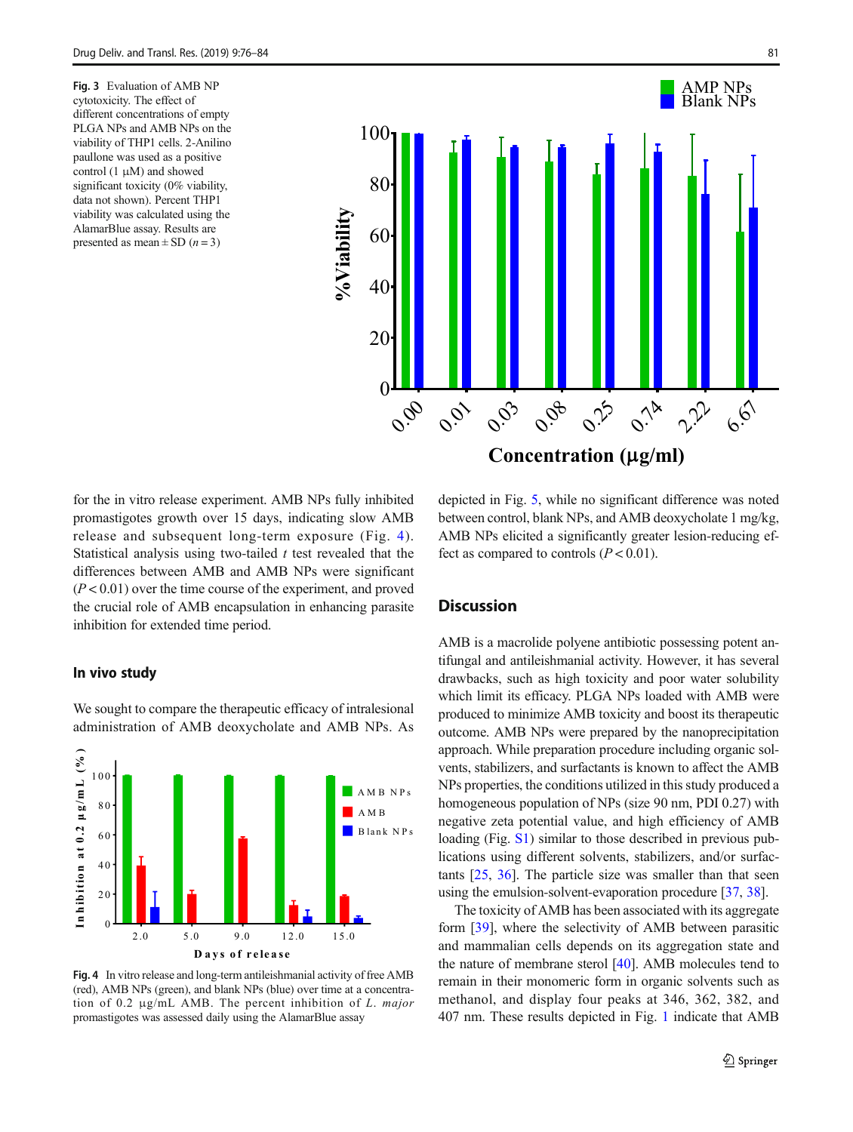Fig. 3 Evaluation of AMB NP cytotoxicity. The effect of different concentrations of empty PLGA NPs and AMB NPs on the viability of THP1 cells. 2-Anilino paullone was used as a positive control  $(1 \mu M)$  and showed significant toxicity (0% viability, data not shown). Percent THP1 viability was calculated using the AlamarBlue assay. Results are presented as mean  $\pm$  SD (*n* = 3)

<span id="page-5-0"></span>

Concentration ( $\mu$ g/ml)

for the in vitro release experiment. AMB NPs fully inhibited promastigotes growth over 15 days, indicating slow AMB release and subsequent long-term exposure (Fig. 4). Statistical analysis using two-tailed  $t$  test revealed that the differences between AMB and AMB NPs were significant  $(P<0.01)$  over the time course of the experiment, and proved the crucial role of AMB encapsulation in enhancing parasite inhibition for extended time period.

### In vivo study



We sought to compare the therapeutic efficacy of intralesional administration of AMB deoxycholate and AMB NPs. As

(red), AMB NPs (green), and blank NPs (blue) over time at a concentration of 0.2 μg/mL AMB. The percent inhibition of L. major promastigotes was assessed daily using the AlamarBlue assay

depicted in Fig. [5,](#page-6-0) while no significant difference was noted between control, blank NPs, and AMB deoxycholate 1 mg/kg, AMB NPs elicited a significantly greater lesion-reducing effect as compared to controls  $(P < 0.01)$ .

# **Discussion**

AMB is a macrolide polyene antibiotic possessing potent antifungal and antileishmanial activity. However, it has several drawbacks, such as high toxicity and poor water solubility which limit its efficacy. PLGA NPs loaded with AMB were produced to minimize AMB toxicity and boost its therapeutic outcome. AMB NPs were prepared by the nanoprecipitation approach. While preparation procedure including organic solvents, stabilizers, and surfactants is known to affect the AMB NPs properties, the conditions utilized in this study produced a homogeneous population of NPs (size 90 nm, PDI 0.27) with negative zeta potential value, and high efficiency of AMB loading (Fig. S1) similar to those described in previous publications using different solvents, stabilizers, and/or surfactants [\[25](#page-7-0), [36](#page-8-0)]. The particle size was smaller than that seen using the emulsion-solvent-evaporation procedure [[37](#page-8-0), [38](#page-8-0)].

The toxicity of AMB has been associated with its aggregate form [[39\]](#page-8-0), where the selectivity of AMB between parasitic and mammalian cells depends on its aggregation state and the nature of membrane sterol [[40\]](#page-8-0). AMB molecules tend to remain in their monomeric form in organic solvents such as methanol, and display four peaks at 346, 362, 382, and 407 nm. These results depicted in Fig. [1](#page-4-0) indicate that AMB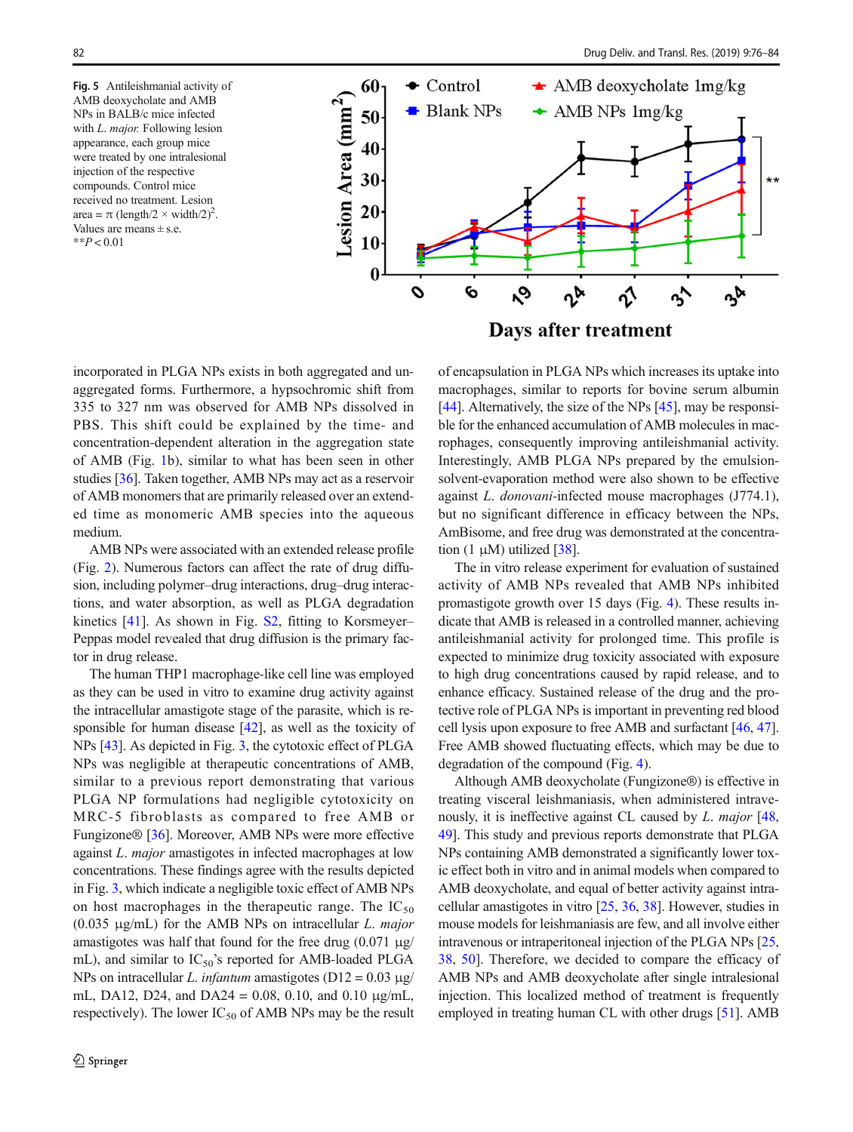<span id="page-6-0"></span>Fig. 5 Antileishmanial activity of AMB deoxycholate and AMB NPs in BALB/c mice infected with *L. major.* Following lesion appearance, each group mice were treated by one intralesional injection of the respective compounds. Control mice received no treatment. Lesion area =  $\pi$  (length/2  $\times$  width/2)<sup>2</sup>. Values are means  $\pm$  s.e.  $*$  $P < 0.01$ 



incorporated in PLGA NPs exists in both aggregated and unaggregated forms. Furthermore, a hypsochromic shift from 335 to 327 nm was observed for AMB NPs dissolved in PBS. This shift could be explained by the time- and concentration-dependent alteration in the aggregation state of AMB (Fig. [1](#page-4-0)b), similar to what has been seen in other studies [\[36\]](#page-8-0). Taken together, AMB NPs may act as a reservoir of AMB monomers that are primarily released over an extended time as monomeric AMB species into the aqueous medium.

AMB NPs were associated with an extended release profile (Fig. [2\)](#page-4-0). Numerous factors can affect the rate of drug diffusion, including polymer–drug interactions, drug–drug interactions, and water absorption, as well as PLGA degradation kinetics [[41\]](#page-8-0). As shown in Fig. S2, fitting to Korsmeyer– Peppas model revealed that drug diffusion is the primary factor in drug release.

The human THP1 macrophage-like cell line was employed as they can be used in vitro to examine drug activity against the intracellular amastigote stage of the parasite, which is responsible for human disease [\[42](#page-8-0)], as well as the toxicity of NPs [[43\]](#page-8-0). As depicted in Fig. [3,](#page-5-0) the cytotoxic effect of PLGA NPs was negligible at therapeutic concentrations of AMB, similar to a previous report demonstrating that various PLGA NP formulations had negligible cytotoxicity on MRC-5 fibroblasts as compared to free AMB or Fungizone® [\[36](#page-8-0)]. Moreover, AMB NPs were more effective against L. major amastigotes in infected macrophages at low concentrations. These findings agree with the results depicted in Fig. [3,](#page-5-0) which indicate a negligible toxic effect of AMB NPs on host macrophages in the therapeutic range. The  $IC_{50}$ (0.035  $\mu$ g/mL) for the AMB NPs on intracellular L. major amastigotes was half that found for the free drug  $(0.071 \text{ µg})$ mL), and similar to  $IC_{50}$ 's reported for AMB-loaded PLGA NPs on intracellular L. infantum amastigotes ( $D12 = 0.03 \mu g$ / mL, DA12, D24, and DA24 = 0.08, 0.10, and 0.10  $\mu$ g/mL, respectively). The lower  $IC_{50}$  of AMB NPs may be the result

Days after treatment of encapsulation in PLGA NPs which increases its uptake into macrophages, similar to reports for bovine serum albumin [\[44](#page-8-0)]. Alternatively, the size of the NPs [\[45\]](#page-8-0), may be responsi-

ble for the enhanced accumulation of AMB molecules in macrophages, consequently improving antileishmanial activity. Interestingly, AMB PLGA NPs prepared by the emulsionsolvent-evaporation method were also shown to be effective against L. donovani-infected mouse macrophages (J774.1),

but no significant difference in efficacy between the NPs, AmBisome, and free drug was demonstrated at the concentration  $(1 \mu M)$  utilized [[38](#page-8-0)]. The in vitro release experiment for evaluation of sustained activity of AMB NPs revealed that AMB NPs inhibited promastigote growth over 15 days (Fig. [4\)](#page-5-0). These results indicate that AMB is released in a controlled manner, achieving antileishmanial activity for prolonged time. This profile is expected to minimize drug toxicity associated with exposure to high drug concentrations caused by rapid release, and to enhance efficacy. Sustained release of the drug and the protective role of PLGA NPs is important in preventing red blood cell lysis upon exposure to free AMB and surfactant [\[46,](#page-8-0) [47\]](#page-8-0). Free AMB showed fluctuating effects, which may be due to

Although AMB deoxycholate (Fungizone®) is effective in treating visceral leishmaniasis, when administered intravenously, it is ineffective against CL caused by L. major [\[48,](#page-8-0) [49\]](#page-8-0). This study and previous reports demonstrate that PLGA NPs containing AMB demonstrated a significantly lower toxic effect both in vitro and in animal models when compared to AMB deoxycholate, and equal of better activity against intracellular amastigotes in vitro [\[25](#page-7-0), [36](#page-8-0), [38\]](#page-8-0). However, studies in mouse models for leishmaniasis are few, and all involve either intravenous or intraperitoneal injection of the PLGA NPs [[25,](#page-7-0) [38](#page-8-0), [50](#page-8-0)]. Therefore, we decided to compare the efficacy of AMB NPs and AMB deoxycholate after single intralesional injection. This localized method of treatment is frequently employed in treating human CL with other drugs [[51\]](#page-8-0). AMB

degradation of the compound (Fig. [4\)](#page-5-0).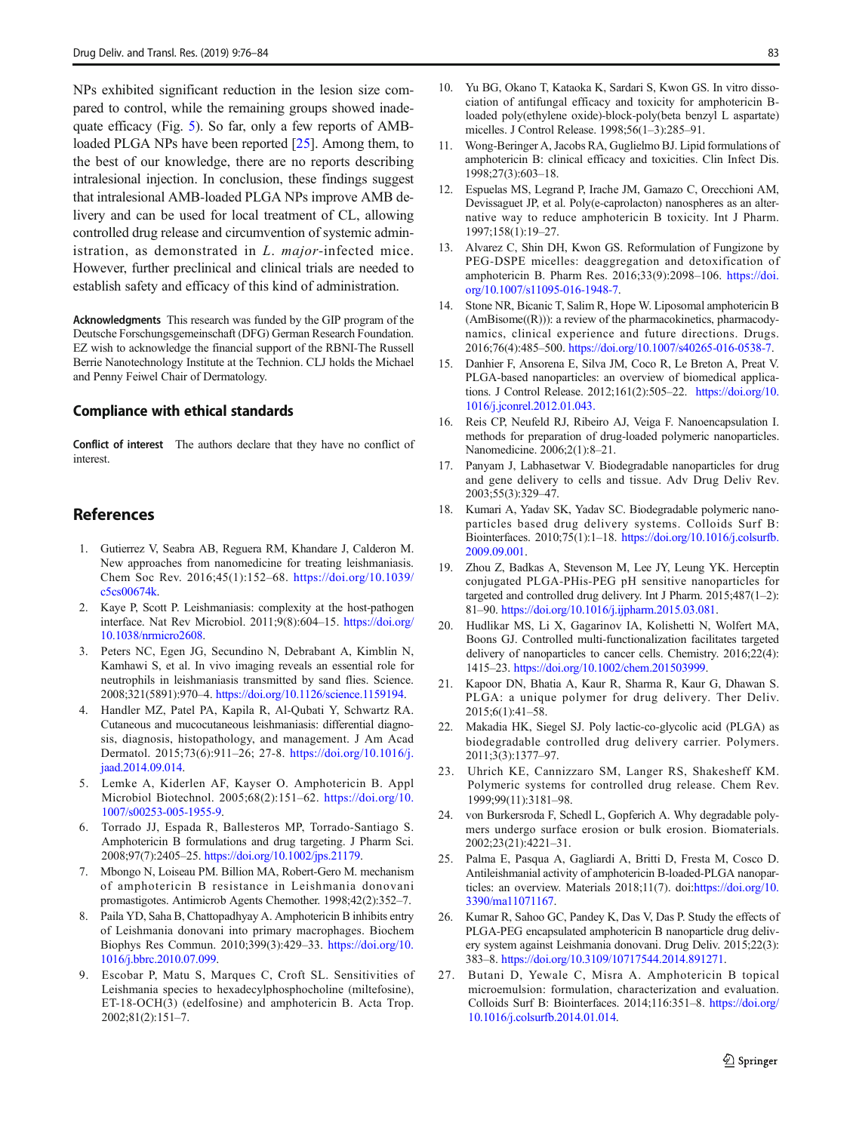<span id="page-7-0"></span>NPs exhibited significant reduction in the lesion size compared to control, while the remaining groups showed inadequate efficacy (Fig. [5](#page-6-0)). So far, only a few reports of AMBloaded PLGA NPs have been reported [25]. Among them, to the best of our knowledge, there are no reports describing intralesional injection. In conclusion, these findings suggest that intralesional AMB-loaded PLGA NPs improve AMB delivery and can be used for local treatment of CL, allowing controlled drug release and circumvention of systemic administration, as demonstrated in L. major-infected mice. However, further preclinical and clinical trials are needed to establish safety and efficacy of this kind of administration.

Acknowledgments This research was funded by the GIP program of the Deutsche Forschungsgemeinschaft (DFG) German Research Foundation. EZ wish to acknowledge the financial support of the RBNI-The Russell Berrie Nanotechnology Institute at the Technion. CLJ holds the Michael and Penny Feiwel Chair of Dermatology.

#### Compliance with ethical standards

Conflict of interest The authors declare that they have no conflict of interest.

# **References**

- 1. Gutierrez V, Seabra AB, Reguera RM, Khandare J, Calderon M. New approaches from nanomedicine for treating leishmaniasis. Chem Soc Rev. 2016;45(1):152–68. [https://doi.org/10.1039/](https://doi.org/10.1039/c5cs00674k) [c5cs00674k.](https://doi.org/10.1039/c5cs00674k)
- 2. Kaye P, Scott P. Leishmaniasis: complexity at the host-pathogen interface. Nat Rev Microbiol. 2011;9(8):604–15. [https://doi.org/](https://doi.org/10.1038/nrmicro2608) [10.1038/nrmicro2608.](https://doi.org/10.1038/nrmicro2608)
- Peters NC, Egen JG, Secundino N, Debrabant A, Kimblin N, Kamhawi S, et al. In vivo imaging reveals an essential role for neutrophils in leishmaniasis transmitted by sand flies. Science. 2008;321(5891):970–4. [https://doi.org/10.1126/science.1159194.](https://doi.org/10.1126/science.1159194)
- 4. Handler MZ, Patel PA, Kapila R, Al-Qubati Y, Schwartz RA. Cutaneous and mucocutaneous leishmaniasis: differential diagnosis, diagnosis, histopathology, and management. J Am Acad Dermatol. 2015;73(6):911–26; 27-8. [https://doi.org/10.1016/j.](https://doi.org/10.1016/j.jaad.2014.09.014) [jaad.2014.09.014](https://doi.org/10.1016/j.jaad.2014.09.014).
- 5. Lemke A, Kiderlen AF, Kayser O. Amphotericin B. Appl Microbiol Biotechnol. 2005;68(2):151–62. [https://doi.org/10.](https://doi.org/10.1007/s00253-005-1955-9) [1007/s00253-005-1955-9.](https://doi.org/10.1007/s00253-005-1955-9)
- 6. Torrado JJ, Espada R, Ballesteros MP, Torrado-Santiago S. Amphotericin B formulations and drug targeting. J Pharm Sci. 2008;97(7):2405–25. [https://doi.org/10.1002/jps.21179.](https://doi.org/10.1002/jps.21179)
- 7. Mbongo N, Loiseau PM. Billion MA, Robert-Gero M. mechanism of amphotericin B resistance in Leishmania donovani promastigotes. Antimicrob Agents Chemother. 1998;42(2):352–7.
- Paila YD, Saha B, Chattopadhyay A. Amphotericin B inhibits entry of Leishmania donovani into primary macrophages. Biochem Biophys Res Commun. 2010;399(3):429–33. [https://doi.org/10.](https://doi.org/10.1016/j.bbrc.2010.07.099) [1016/j.bbrc.2010.07.099.](https://doi.org/10.1016/j.bbrc.2010.07.099)
- 9. Escobar P, Matu S, Marques C, Croft SL. Sensitivities of Leishmania species to hexadecylphosphocholine (miltefosine), ET-18-OCH(3) (edelfosine) and amphotericin B. Acta Trop. 2002;81(2):151–7.
- 10. Yu BG, Okano T, Kataoka K, Sardari S, Kwon GS. In vitro dissociation of antifungal efficacy and toxicity for amphotericin Bloaded poly(ethylene oxide)-block-poly(beta benzyl L aspartate) micelles. J Control Release. 1998;56(1–3):285–91.
- 11. Wong-Beringer A, Jacobs RA, Guglielmo BJ. Lipid formulations of amphotericin B: clinical efficacy and toxicities. Clin Infect Dis. 1998;27(3):603–18.
- 12. Espuelas MS, Legrand P, Irache JM, Gamazo C, Orecchioni AM, Devissaguet JP, et al. Poly(e-caprolacton) nanospheres as an alternative way to reduce amphotericin B toxicity. Int J Pharm. 1997;158(1):19–27.
- 13. Alvarez C, Shin DH, Kwon GS. Reformulation of Fungizone by PEG-DSPE micelles: deaggregation and detoxification of amphotericin B. Pharm Res. 2016;33(9):2098–106. [https://doi.](https://doi.org/10.1007/s11095-016-1948-7) [org/10.1007/s11095-016-1948-7.](https://doi.org/10.1007/s11095-016-1948-7)
- 14. Stone NR, Bicanic T, Salim R, Hope W. Liposomal amphotericin B (AmBisome((R))): a review of the pharmacokinetics, pharmacodynamics, clinical experience and future directions. Drugs. 2016;76(4):485–500. [https://doi.org/10.1007/s40265-016-0538-7.](https://doi.org/10.1007/s40265-016-0538-7)
- 15. Danhier F, Ansorena E, Silva JM, Coco R, Le Breton A, Preat V. PLGA-based nanoparticles: an overview of biomedical applications. J Control Release. 2012;161(2):505–22. [https://doi.org/10.](https://doi.org/10.1016/j.jconrel.2012.01.043.) [1016/j.jconrel.2012.01.043.](https://doi.org/10.1016/j.jconrel.2012.01.043.)
- 16. Reis CP, Neufeld RJ, Ribeiro AJ, Veiga F. Nanoencapsulation I. methods for preparation of drug-loaded polymeric nanoparticles. Nanomedicine. 2006;2(1):8–21.
- 17. Panyam J, Labhasetwar V. Biodegradable nanoparticles for drug and gene delivery to cells and tissue. Adv Drug Deliv Rev. 2003;55(3):329–47.
- 18. Kumari A, Yadav SK, Yadav SC. Biodegradable polymeric nanoparticles based drug delivery systems. Colloids Surf B: Biointerfaces. 2010;75(1):1–18. [https://doi.org/10.1016/j.colsurfb.](https://doi.org/10.1016/j.colsurfb.2009.09.001) [2009.09.001](https://doi.org/10.1016/j.colsurfb.2009.09.001).
- 19. Zhou Z, Badkas A, Stevenson M, Lee JY, Leung YK. Herceptin conjugated PLGA-PHis-PEG pH sensitive nanoparticles for targeted and controlled drug delivery. Int J Pharm. 2015;487(1–2): 81–90. [https://doi.org/10.1016/j.ijpharm.2015.03.081.](https://doi.org/10.1016/j.ijpharm.2015.03.081)
- 20. Hudlikar MS, Li X, Gagarinov IA, Kolishetti N, Wolfert MA, Boons GJ. Controlled multi-functionalization facilitates targeted delivery of nanoparticles to cancer cells. Chemistry. 2016;22(4): 1415–23. [https://doi.org/10.1002/chem.201503999.](https://doi.org/10.1002/chem.201503999)
- 21. Kapoor DN, Bhatia A, Kaur R, Sharma R, Kaur G, Dhawan S. PLGA: a unique polymer for drug delivery. Ther Deliv. 2015;6(1):41–58.
- 22. Makadia HK, Siegel SJ. Poly lactic-co-glycolic acid (PLGA) as biodegradable controlled drug delivery carrier. Polymers. 2011;3(3):1377–97.
- 23. Uhrich KE, Cannizzaro SM, Langer RS, Shakesheff KM. Polymeric systems for controlled drug release. Chem Rev. 1999;99(11):3181–98.
- 24. von Burkersroda F, Schedl L, Gopferich A. Why degradable polymers undergo surface erosion or bulk erosion. Biomaterials. 2002;23(21):4221–31.
- 25. Palma E, Pasqua A, Gagliardi A, Britti D, Fresta M, Cosco D. Antileishmanial activity of amphotericin B-loaded-PLGA nanoparticles: an overview. Materials 2018;11(7). doi:[https://doi.org/10.](https://doi.org/10.3390/ma11071167) [3390/ma11071167.](https://doi.org/10.3390/ma11071167)
- 26. Kumar R, Sahoo GC, Pandey K, Das V, Das P. Study the effects of PLGA-PEG encapsulated amphotericin B nanoparticle drug delivery system against Leishmania donovani. Drug Deliv. 2015;22(3): 383–8. [https://doi.org/10.3109/10717544.2014.891271.](https://doi.org/10.3109/10717544.2014.891271)
- 27. Butani D, Yewale C, Misra A. Amphotericin B topical microemulsion: formulation, characterization and evaluation. Colloids Surf B: Biointerfaces. 2014;116:351–8. [https://doi.org/](https://doi.org/10.1016/j.colsurfb.2014.01.014) [10.1016/j.colsurfb.2014.01.014](https://doi.org/10.1016/j.colsurfb.2014.01.014).